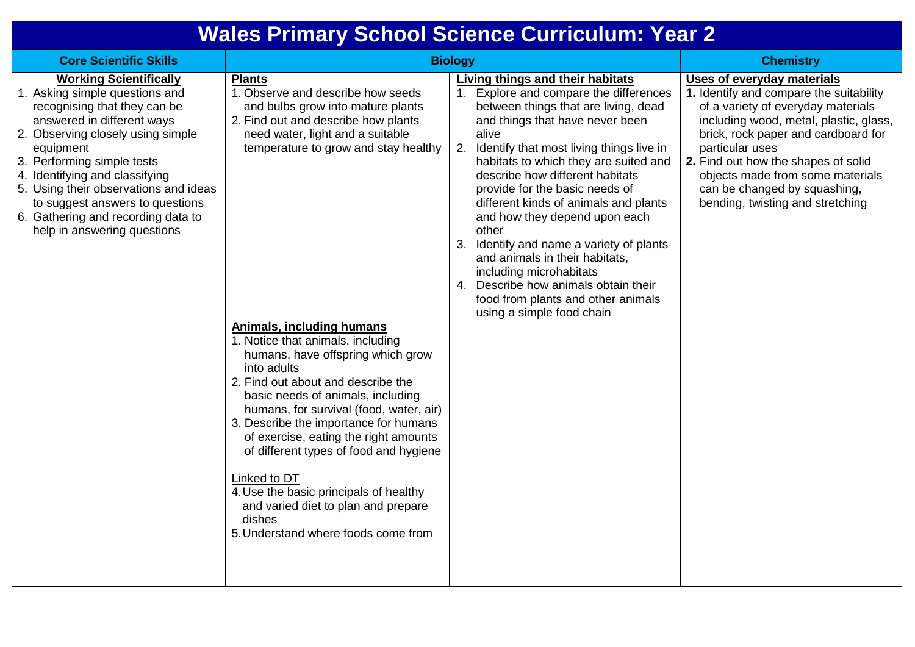## **Wales Primary School Science Curriculum: Year 2**

| <b>Core Scientific Skills</b>                                                                                                                                                                                                                                                                                                                                                                    | <b>Biology</b>                                                                                                                                                                                                                                                                                                                                                                                                  |                                                                                                                                                                                                                                                                                                                                                                                                                                                                                                                                                                                                                                           | <b>Chemistry</b>                                                                                                                                                                                                                                                                                                                                               |
|--------------------------------------------------------------------------------------------------------------------------------------------------------------------------------------------------------------------------------------------------------------------------------------------------------------------------------------------------------------------------------------------------|-----------------------------------------------------------------------------------------------------------------------------------------------------------------------------------------------------------------------------------------------------------------------------------------------------------------------------------------------------------------------------------------------------------------|-------------------------------------------------------------------------------------------------------------------------------------------------------------------------------------------------------------------------------------------------------------------------------------------------------------------------------------------------------------------------------------------------------------------------------------------------------------------------------------------------------------------------------------------------------------------------------------------------------------------------------------------|----------------------------------------------------------------------------------------------------------------------------------------------------------------------------------------------------------------------------------------------------------------------------------------------------------------------------------------------------------------|
| <b>Working Scientifically</b><br>1. Asking simple questions and<br>recognising that they can be<br>answered in different ways<br>2. Observing closely using simple<br>equipment<br>3. Performing simple tests<br>4. Identifying and classifying<br>5. Using their observations and ideas<br>to suggest answers to questions<br>6. Gathering and recording data to<br>help in answering questions | <b>Plants</b><br>1. Observe and describe how seeds<br>and bulbs grow into mature plants<br>2. Find out and describe how plants<br>need water, light and a suitable<br>temperature to grow and stay healthy<br><b>Animals, including humans</b><br>1. Notice that animals, including<br>humans, have offspring which grow                                                                                        | <b>Living things and their habitats</b><br>1. Explore and compare the differences<br>between things that are living, dead<br>and things that have never been<br>alive<br>2. Identify that most living things live in<br>habitats to which they are suited and<br>describe how different habitats<br>provide for the basic needs of<br>different kinds of animals and plants<br>and how they depend upon each<br>other<br>3. Identify and name a variety of plants<br>and animals in their habitats,<br>including microhabitats<br>4. Describe how animals obtain their<br>food from plants and other animals<br>using a simple food chain | Uses of everyday materials<br>1. Identify and compare the suitability<br>of a variety of everyday materials<br>including wood, metal, plastic, glass,<br>brick, rock paper and cardboard for<br>particular uses<br>2. Find out how the shapes of solid<br>objects made from some materials<br>can be changed by squashing,<br>bending, twisting and stretching |
|                                                                                                                                                                                                                                                                                                                                                                                                  | into adults<br>2. Find out about and describe the<br>basic needs of animals, including<br>humans, for survival (food, water, air)<br>3. Describe the importance for humans<br>of exercise, eating the right amounts<br>of different types of food and hygiene<br>Linked to DT<br>4. Use the basic principals of healthy<br>and varied diet to plan and prepare<br>dishes<br>5. Understand where foods come from |                                                                                                                                                                                                                                                                                                                                                                                                                                                                                                                                                                                                                                           |                                                                                                                                                                                                                                                                                                                                                                |